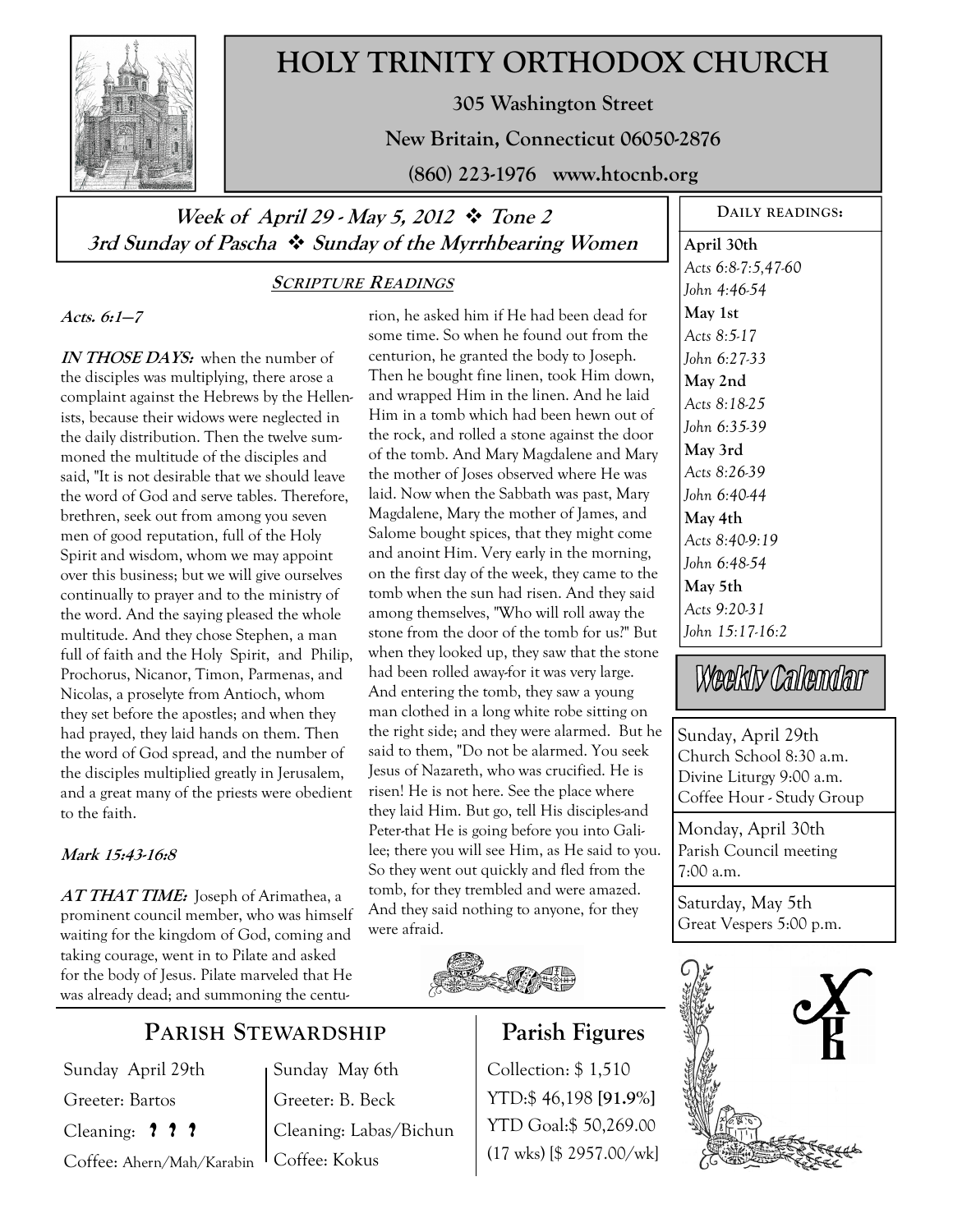

# **HOLY TRINITY ORTHODOX CHURCH**

**305 Washington Street** 

**New Britain, Connecticut 06050-2876** 

**(860) 223-1976 www.htocnb.org** 

# **Week of April 29 - May 5, 2012 Tone 2 3rd Sunday of Pascha Sunday of the Myrrhbearing Women**

## **SCRIPTURE READINGS**

**Acts. 6:1—7** 

**IN THOSE DAYS:** when the number of the disciples was multiplying, there arose a complaint against the Hebrews by the Hellenists, because their widows were neglected in the daily distribution. Then the twelve summoned the multitude of the disciples and said, "It is not desirable that we should leave the word of God and serve tables. Therefore, brethren, seek out from among you seven men of good reputation, full of the Holy Spirit and wisdom, whom we may appoint over this business; but we will give ourselves continually to prayer and to the ministry of the word. And the saying pleased the whole multitude. And they chose Stephen, a man full of faith and the Holy Spirit, and Philip, Prochorus, Nicanor, Timon, Parmenas, and Nicolas, a proselyte from Antioch, whom they set before the apostles; and when they had prayed, they laid hands on them. Then the word of God spread, and the number of the disciples multiplied greatly in Jerusalem, and a great many of the priests were obedient to the faith.

#### **Mark 15:43-16:8**

**AT THAT TIME:** Joseph of Arimathea, a prominent council member, who was himself waiting for the kingdom of God, coming and taking courage, went in to Pilate and asked for the body of Jesus. Pilate marveled that He was already dead; and summoning the centu-

# **PARISH STEWARDSHIP**

Sunday May 6th Greeter: B. Beck

Coffee: Kokus

Cleaning: Labas/Bichun

Sunday April 29th Greeter: Bartos Cleaning: **? ? ?**

Coffee: Ahern/Mah/Karabin

and wrapped Him in the linen. And he laid Him in a tomb which had been hewn out of the rock, and rolled a stone against the door of the tomb. And Mary Magdalene and Mary the mother of Joses observed where He was laid. Now when the Sabbath was past, Mary Magdalene, Mary the mother of James, and Salome bought spices, that they might come and anoint Him. Very early in the morning, on the first day of the week, they came to the tomb when the sun had risen. And they said among themselves, "Who will roll away the stone from the door of the tomb for us?" But when they looked up, they saw that the stone had been rolled away-for it was very large. And entering the tomb, they saw a young man clothed in a long white robe sitting on the right side; and they were alarmed. But he said to them, "Do not be alarmed. You seek Jesus of Nazareth, who was crucified. He is risen! He is not here. See the place where they laid Him. But go, tell His disciples-and Peter-that He is going before you into Galilee; there you will see Him, as He said to you. So they went out quickly and fled from the tomb, for they trembled and were amazed. And they said nothing to anyone, for they were afraid.

rion, he asked him if He had been dead for some time. So when he found out from the centurion, he granted the body to Joseph. Then he bought fine linen, took Him down,



# **Parish Figures**

Collection: \$ 1,510 YTD:\$ 46,198 **[91.9%]** YTD Goal:\$ 50,269.00 (17 wks) [\$ 2957.00/wk]

**DAILY READINGS: April 30th**  *Acts 6:8-7:5,47-60 John 4:46-54*  **May 1st**  *Acts 8:5-17 John 6:27-33*  **May 2nd**  *Acts 8:18-25 John 6:35-39*  **May 3rd**  *Acts 8:26-39 John 6:40-44*  **May 4th**  *Acts 8:40-9:19 John 6:48-54*  **May 5th**  *Acts 9:20-31 John 15:17-16:2* 

Weekly Calendar

Sunday, April 29th Church School 8:30 a.m. Divine Liturgy 9:00 a.m. Coffee Hour - Study Group

Monday, April 30th Parish Council meeting 7:00 a.m.

Saturday, May 5th Great Vespers 5:00 p.m.